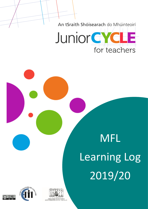An tSraith Shóisearach do Mhúinteoirí



# MFL Learning Log 2019/20



 $\mathbf{0}$ 

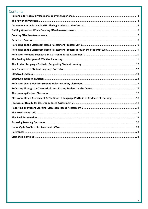| Contents                                                                                 |  |
|------------------------------------------------------------------------------------------|--|
|                                                                                          |  |
|                                                                                          |  |
|                                                                                          |  |
|                                                                                          |  |
|                                                                                          |  |
|                                                                                          |  |
|                                                                                          |  |
|                                                                                          |  |
|                                                                                          |  |
|                                                                                          |  |
|                                                                                          |  |
|                                                                                          |  |
|                                                                                          |  |
|                                                                                          |  |
|                                                                                          |  |
|                                                                                          |  |
|                                                                                          |  |
| Classroom-Based Assessment 2: The Student Language Portfolio as Evidence of Learning  18 |  |
|                                                                                          |  |
|                                                                                          |  |
|                                                                                          |  |
|                                                                                          |  |
|                                                                                          |  |
|                                                                                          |  |
|                                                                                          |  |
|                                                                                          |  |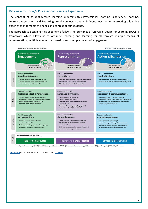#### <span id="page-2-0"></span>Rationale for Today's Professional Learning Experience

The concept of student-centred learning underpins this Professional Learning Experience. Teaching, Learning, Assessment and Reporting are all connected and all influence each other in creating a learning experience that meets the needs and context of our students.

The approach to designing this experience follows the principles of Universal Design for Learning (UDL), a framework which allows us to optimise teaching and learning for all through multiple means of representation, multiple means of expression and multiple means of engagement.



[This Photo](http://udloncampus.cast.org/page/udl_about) by Unknown Author is licensed unde[r CC BY-SA](https://creativecommons.org/licenses/by-sa/3.0/)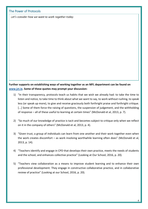#### <span id="page-3-0"></span>The Power of Protocols

Let's consider how we want to work together today.

#### **Further supports on establishing ways of working together as an MFL department can be found on [www.jct.ie.](http://www.jct.ie/) Some of these quotes may prompt your discussion:**

- 1) "In their transparency, protocols teach us habits that we wish we already had: to take the time to listen and notice, to take time to think about what we want to say, to work without rushing, to speak less (or speak up more), to give and receive graciously both forthright praise and forthright critique. [...] Some of them force the raising of questions, the suspension of judgement, and the withholding of response – all of these useful to learning at certain times" (McDonald et al, 2013, p. 7).
- 2) "So much of our knowledge of practice is tacit and becomes subject to critique only when we reflect on it in the company of others" (McDonald et al, 2013, p. 4).
- 3) "Given trust, a group of individuals can learn from one another and their work together even when the work creates discomfort – as work involving worthwhile learning often does" (McDonald et al, 2013, p. 14).
- 4) "Teachers identify and engage in CPD that develops their own practice, meets the needs of students and the school, and enhances collective practice" (Looking at Our School, 2016, p. 20).
- 5) "Teachers view collaboration as a means to improve student learning and to enhance their own professional development. They engage in constructive collaborative practice, and in collaborative review of practice" (Looking at our School, 2016, p. 20).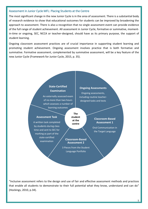#### <span id="page-4-0"></span>Assessment in Junior Cycle MFL: Placing Students at the Centre

The most significant change in the new Junior Cycle is in the area of assessment. There is a substantial body of research evidence to show that educational outcomes for students can be improved by broadening the approach to assessment. There is also a recognition that no single assessment event can provide evidence of the full range of student achievement. All assessment in Junior Cycle, formative or summative, momentin-time or ongoing, SEC, NCCA or teacher-designed, should have as its primary purpose, the support of student learning.

Ongoing classroom assessment practices are of crucial importance in supporting student learning and promoting student achievement. Ongoing assessment involves practice that is both formative and summative. Formative assessment, complemented by summative assessment, will be a key feature of the new Junior Cycle (Framework for Junior Cycle, 2015, p. 35).

#### **State-Certified Examination**

An externally assessed exam of no more than two hours which assesses a number of learning outcomes

#### **Ongoing Assessments**

Ongoing assessments, including routine teacherdesigned tasks and tests

#### **Assessment Task**

A written task completed by students during class time and sent to SEC for marking as part of the state-certified examination

**student at the centre** 

**The** 

# **Classroom-Based**

3 Pieces from the Student Language Portfolio

**Assessment 2**

**Classroom-Based Assessment 1**

Oral Communication in the Target Language

"Inclusive assessment refers to the design and use of fair and effective assessment methods and practices that enable all students to demonstrate to their full potential what they know, understand and can do" (Hockings, 2010, p.34).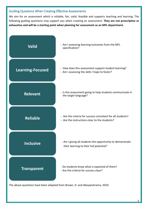#### <span id="page-5-0"></span>Guiding Questions When Creating Effective Assessments

We aim for an assessment which is reliable, fair, valid, feasible and supports teaching and learning. The following guiding questions may support you when creating an assessment. **They are not prescriptive or exhaustive and will be a starting point when planning for assessment as an MFL department.** 

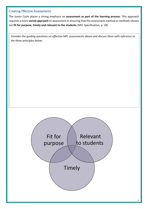#### <span id="page-6-0"></span>Creating Effective Assessments

The Junior Cycle places a strong emphasis on **assessment as part of the learning process**. This approach requires a more **varied approach** to assessment in ensuring that the assessment method or methods chosen are **fit for purpose, timely and relevant to the students** (MFL Specification, p. 18).

*Consider the guiding questions on effective MFL assessments above and discuss them with reference to the three principles below.*

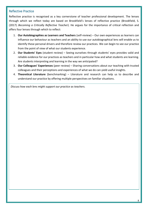#### <span id="page-7-0"></span>Reflective Practice

Reflective practice is recognised as a key cornerstone of teacher professional development. The lenses through which we reflect today are based on Brookfield's lenses of reflective practice (Brookfield, S. (2017). *Becoming a Critically Reflective Teacher*). He argues for the importance of critical reflection and offers four lenses through which to reflect:

- 1. **Our Autobiographies as Learners and Teachers** (self-review) Our own experiences as learners can influence our behaviour as teachers and an ability to use our autobiographical lens will enable us to identify these personal drivers and therefore review our practices. We can begin to see our practice from the point of view of what our students experience.
- 2. **Our Students' Eyes** (student review) Seeing ourselves through students' eyes provides valid and reliable evidence for our practices as teachers and in particular how and what students are learning. Are students interpreting and learning in the way we anticipated?
- 3. **Our Colleagues' Experiences** (peer review) Sharing conversations about our teaching with trusted colleagues and their perceptions and experiences of what we do can yield useful insights.
- 4. **Theoretical Literature** (benchmarking) Literature and research can help us to describe and understand our practice by offering multiple perspectives on familiar situations.

*Discuss how each lens might support our practice as teachers.*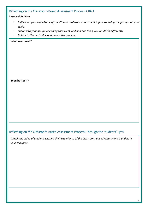### <span id="page-8-0"></span>Reflecting on the Classroom-Based Assessment Process: CBA 1

#### **Carousel Activity**:

- *Reflect on your experience of the Classroom-Based Assessment 1 process using the prompt at your table*
- *Share with your group: one thing that went well and one thing you would do differently*
- *Rotate to the next table and repeat the process.*

**What went well?**

**Even better if?**

# <span id="page-8-1"></span>Reflecting on the Classroom-Based Assessment Process: Through the Students' Eyes

*Watch the video of students sharing their experience of the Classroom-Based Assessment 1 and note your thoughts.*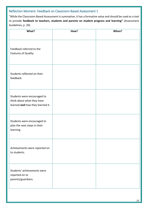# <span id="page-9-0"></span>Reflection Moment: Feedback on Classroom-Based Assessment 1

"While the Classroom-Based Assessment is summative, it has a formative value and should be used as a tool to provide **feedback to teachers, students and parents on student progress and learning"** (Assessment Guidelines, p. 20).

| What?                                                                                         | How? | When? |
|-----------------------------------------------------------------------------------------------|------|-------|
| Feedback referred to the<br>Features of Quality.                                              |      |       |
| Students reflected on their<br>feedback.                                                      |      |       |
| Students were encouraged to<br>think about what they have<br>learned and how they learned it. |      |       |
| Students were encouraged to<br>plan the next steps in their<br>learning.                      |      |       |
| Achievements were reported on<br>to students.                                                 |      |       |
| Students' achievements were<br>reported on to<br>parents/guardians.                           |      |       |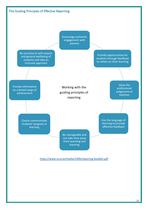<span id="page-10-0"></span>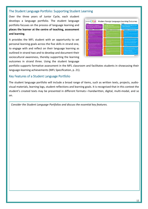#### <span id="page-11-0"></span>The Student Language Portfolio: Supporting Student Learning

Over the three years of Junior Cycle, each student develops a language portfolio. The student language portfolio focuses on the process of language learning and **places the learner at the centre of teaching, assessment and learning**.

It provides the MFL student with an opportunity to set personal learning goals across the five skills in strand one, to engage with and reflect on their language learning as outlined in strand two and to develop and document their sociocultural awareness, thereby supporting the learning outcomes in strand three. Using the student language



portfolio supports formative assessment in the MFL classroom and facilitates students in showcasing their language-learning achievements (MFL Specification, p. 21).

#### <span id="page-11-1"></span>Key Features of a Student Language Portfolio

The student language portfolio will include a broad range of items, such as written texts, projects, audiovisual materials, learning logs, student reflections and learning goals. It is recognised that in this context the student's created texts may be presented in different formats—handwritten, digital, multi-modal, and so on.

*Consider the Student Language Portfolios and discuss the essential key features.*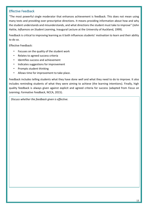#### <span id="page-12-0"></span>Effective Feedback

"The most powerful single moderator that enhances achievement is feedback. This does not mean using many tests and providing over-prescriptive directions. It means providing information about how and why the student understands and misunderstands, and what directions the student must take to improve" (John Hattie, *Influences on Student Learning,* Inaugural Lecture at the University of Auckland*,* 1999).

Feedback is critical to improving learning as it both influences students' motivation to learn and their ability to do so.

Effective Feedback:

- Focuses on the quality of the student work
- Relates to agreed success criteria
- Identifies success and achievement
- Indicates suggestions for improvement
- Prompts student thinking
- Allows time for improvement to take place.

Feedback includes telling students what they have done well and what they need to do to improve. It also includes reminding students of what they were aiming to achieve (the learning intentions). Finally, high quality feedback is always given against explicit and agreed criteria for success (adapted from *Focus on Learning; Formative Feedback*, NCCA, 2015).

*Discuss whether the feedback given is effective.*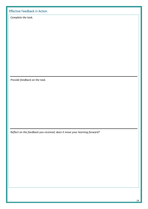<span id="page-13-0"></span>

| <b>Effective Feedback in Action</b> |                                                                           |  |  |  |
|-------------------------------------|---------------------------------------------------------------------------|--|--|--|
|                                     | Complete the task.                                                        |  |  |  |
|                                     |                                                                           |  |  |  |
|                                     |                                                                           |  |  |  |
|                                     |                                                                           |  |  |  |
|                                     |                                                                           |  |  |  |
|                                     |                                                                           |  |  |  |
|                                     |                                                                           |  |  |  |
|                                     |                                                                           |  |  |  |
|                                     |                                                                           |  |  |  |
|                                     |                                                                           |  |  |  |
|                                     | Provide feedback on the task.                                             |  |  |  |
|                                     |                                                                           |  |  |  |
|                                     |                                                                           |  |  |  |
|                                     |                                                                           |  |  |  |
|                                     |                                                                           |  |  |  |
|                                     |                                                                           |  |  |  |
|                                     |                                                                           |  |  |  |
|                                     |                                                                           |  |  |  |
|                                     | Reflect on the feedback you received; does it move your learning forward? |  |  |  |
|                                     |                                                                           |  |  |  |
|                                     |                                                                           |  |  |  |
|                                     |                                                                           |  |  |  |
|                                     |                                                                           |  |  |  |
|                                     |                                                                           |  |  |  |
|                                     |                                                                           |  |  |  |
|                                     |                                                                           |  |  |  |
|                                     |                                                                           |  |  |  |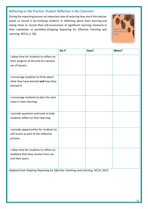# <span id="page-14-0"></span>Reflecting on My Practice: Student Reflection in My Classroom

During the reporting process an important way of reducing how much the teacher needs to record is by involving students in reflecting about their learning and asking them to record their self-assessment of significant learning moments in their notebooks or portfolios (Ongoing Reporting for Effective Teaching and Learning, NCCA, p. 28).



|                                         | Do I? | How? | When? |
|-----------------------------------------|-------|------|-------|
| I allow time for students to reflect on |       |      |       |
| their progress at the end of a lesson/  |       |      |       |
| set of lessons.                         |       |      |       |
|                                         |       |      |       |
|                                         |       |      |       |
| I encourage students to think about     |       |      |       |
| what they have learned and how they     |       |      |       |
| learned it.                             |       |      |       |
|                                         |       |      |       |
| I encourage students to plan the next   |       |      |       |
| steps in their learning.                |       |      |       |
|                                         |       |      |       |
|                                         |       |      |       |
| I provide questions and tools to help   |       |      |       |
| students reflect on their learning.     |       |      |       |
|                                         |       |      |       |
| I provide opportunities for students to |       |      |       |
| self-assess as part of the reflective   |       |      |       |
| process.                                |       |      |       |
|                                         |       |      |       |
|                                         |       |      |       |
| I allow time for students to reflect on |       |      |       |
| feedback that they receive from me      |       |      |       |
| and their peers.                        |       |      |       |
|                                         |       |      |       |
|                                         |       |      |       |

*Adapted from Ongoing Reporting for Effective Teaching and Learning, NCCA, 2015.*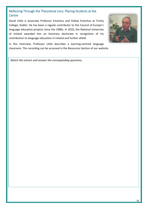# <span id="page-15-0"></span>Reflecting Through the Theoretical Lens: Placing Students at the **Centre**

David Little is Associate Professor Emeritus and Fellow Emeritus at Trinity College, Dublin. He has been a regular contributor to the Council of Europe's language education projects since the 1980s. In 2010, the National University of Ireland awarded him an honorary doctorate in recognition of his contribution to language education in Ireland and further afield.



In this interview, Professor Little describes a learning-centred language classroom. The recording can be accessed in the Resources Section of our website.

*Watch the extract and answer the corresponding questions.*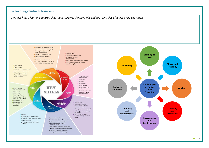<span id="page-16-0"></span>

◼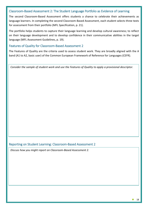#### <span id="page-17-0"></span>Classroom-Based Assessment 2: The Student Language Portfolio as Evidence of Learning

The second Classroom-Based Assessment offers students a chance to celebrate their achievements as language learners. In completing the second Classroom-Based Assessment, each student selects three texts for assessment from their portfolio (MFL Specification, p. 21).

The portfolio helps students to capture their language learning and develop cultural awareness; to reflect on their language development and to develop confidence in their communicative abilities in the target language (MFL Assessment Guidelines, p. 19).

#### <span id="page-17-1"></span>Features of Quality for Classroom-Based Assessment 2

The Features of Quality are the criteria used to assess student work. They are broadly aligned with the A band (A1 to A2, basic user) of the Common European Framework of Reference for Languages (CEFR).

*Consider the sample of student work and use the Features of Quality to apply a provisional descriptor.*

#### <span id="page-17-2"></span>Reporting on Student Learning: Classroom-Based Assessment 2

*Discuss how you might report on Classroom-Based Assessment 2.*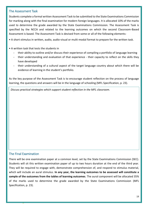#### <span id="page-18-0"></span>The Assessment Task

Students complete a formal written Assessment Task to be submitted to the State Examinations Commission for marking along with the final examination for modern foreign languages. It is allocated 10% of the marks used to determine the grade awarded by the State Examinations Commission. The Assessment Task is specified by the NCCA and related to the learning outcomes on which the second Classroom-Based Assessment is based. The Assessment Task is devised from some or all of the following elements:

• A short stimulus in written, audio, audio-visual or multi-modal format to prepare for the written task.

- A written task that tests the students in
	- their ability to outline and/or discuss their experience of compiling a portfolio of language learning
	- their understanding and evaluation of that experience their capacity to reflect on the skills they have developed
	- their understanding of a cultural aspect of the target language country about which there will be evidence of learning in the student's portfolio.

As the key purpose of the Assessment Task is to encourage student reflection on the process of language learning, the questions and answers will be in the language of schooling (MFL Specification, p. 23).

*Discuss practical strategies which support student reflection in the MFL classroom.* 

#### <span id="page-18-1"></span>The Final Examination

◼

There will be one examination paper at a common level, set by the State Examinations Commission (SEC). Students will sit this written examination paper of up to two hours duration at the end of the third year. They will be required to engage with, demonstrate comprehension of, and respond to stimulus material, which will include an aural stimulus. **In any year, the learning outcomes to be assessed will constitute a sample of the outcomes from the tables of learning outcomes**. The aural component will be allocated 35% of the marks used to determine the grade awarded by the State Examinations Commission (MFL Specification, p. 23).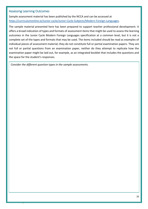#### <span id="page-19-0"></span>Assessing Learning Outcomes

◼

Sample assessment material has been published by the NCCA and can be accessed at [https://curriculumonline.ie/Junior-cycle/Junior-Cycle-Subjects/Modern-Foreign-Languages.](https://curriculumonline.ie/Junior-cycle/Junior-Cycle-Subjects/Modern-Foreign-Languages)

The sample material presented here has been prepared to support teacher professional development. It offers a broad indication of types and formats of assessment items that might be used to assess the learning outcomes in the Junior Cycle Modern Foreign Languages specification at a common level, but it is not a complete set of the types and formats that may be used. The items included should be read as examples of individual pieces of assessment material; they do not constitute full or partial examination papers. They are not full or partial questions from an examination paper, neither do they attempt to replicate how the examination paper might be laid out, for example, as an integrated booklet that includes the questions and the space for the student's responses.

*Consider the different question types in the sample assessments.*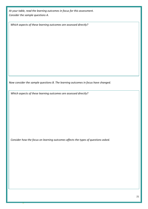*At your table, read the learning outcomes in focus for this assessment. Consider the sample questions A.*

*Which aspects of these learning outcomes are assessed directly?* 

*Now consider the sample questions B. The learning outcomes in focus have changed.* 

*Which aspects of these learning outcomes are assessed directly?* 

◼

*Consider how the focus on learning outcomes affects the types of questions asked.*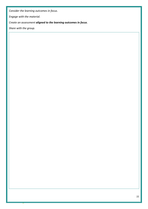*Consider the learning outcomes in focus.*

*Engage with the material.*

*Create an assessment aligned to the learning outcomes in focus.* 

*Share with the group.*

◼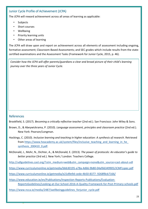# <span id="page-22-0"></span>Junior Cycle Profile of Achievement (JCPA)

The JCPA will reward achievement across all areas of learning as applicable:

- **Subjects**
- Short courses
- Wellbeing
- Priority learning units
- Other areas of learning

The JCPA will draw upon and report on achievement across all elements of assessment including ongoing, formative assessment; Classroom-Based Assessments; and SEC grades which include results from the statecertified examinations and the Assessment Tasks (Framework for Junior Cycle, 2015, p. 46).

*Consider how the JCPA will offer parents/guardians a clear and broad picture of their child's learning journey over the three years of Junior Cycle.*

#### <span id="page-22-1"></span>References

◼

Brookfield, S. (2017). *Becoming a critically reflective teacher* (2nd ed.). San Francisco: John Wiley & Sons.

- Brown, D., & Abeywickrama, P. (2010). *Language assessment, principles and classroom practice* (2nd ed.). New York: Pearson/Longman.
- Hockings, C. (2010). *Inclusive learning and teaching in higher education: A synthesis of research*. Retrieved from https://www.heacademy.ac.uk/system/files/inclusive\_teaching\_and\_learning\_in\_he [synthesis\\_200410\\_0.pdf.](https://www.heacademy.ac.uk/system/files/inclusive_teaching_and_learning_in_he_synthesis_200410_0.pdf)
- McDonald, J., Mohr, N., Dichter, A., & McDonald, E. (2013). *The power of protocols: An educator's guide to better practice* (3rd ed.). New York / London: Teachers College.

[http://udlguidelines.cast.org/?utm\\_medium=web&utm\\_campaign=none&utm\\_source=cast-about-udl](http://udlguidelines.cast.org/?utm_medium=web&utm_campaign=none&utm_source=cast-about-udl)

<https://www.curriculumonline.ie/getmedia/bbb30195-a78a-4d66-9b80-04af66349905/JCMFLspec.pdf>

[https://www.curriculumonline.ie/getmedia/e21d9e9d-cede-4b50-8377-](https://www.curriculumonline.ie/getmedia/e21d9e9d-cede-4b50-8377-%209268f8cb7166/) 9268f8cb7166/

[https://www.education.ie/en/Publications/Inspection-Reports-Publications/Evaluation-](https://www.education.ie/en/Publications/Inspection-Reports-Publications/Evaluation-ReportsGuidelines/Looking-at-Our-School-2016-A-Quality-Framework-for-Post-Primary-schools.pdf)[ReportsGuidelines/Looking-at-Our-School-2016-A-Quality-Framework-for-Post-Primary-schools.pdf](https://www.education.ie/en/Publications/Inspection-Reports-Publications/Evaluation-ReportsGuidelines/Looking-at-Our-School-2016-A-Quality-Framework-for-Post-Primary-schools.pdf)

https://www.ncca.ie/media/2487/wellbeingguidelines forjunior cycle.pdf